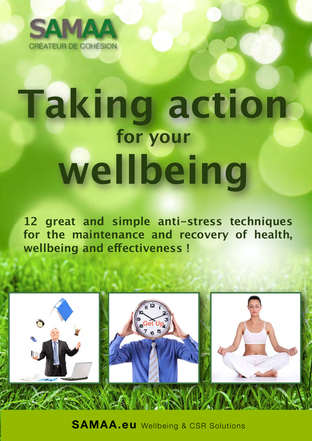

# **Taking action for your wellbeing**

**12 great and simple anti-stress techniques for the maintenance and recovery of health, wellbeing and efectiveness !**



**SAMAA.eu** Wellbeing & CSR Solutions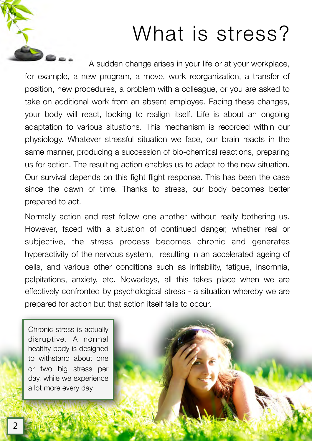### What is stress?

A sudden change arises in your life or at your workplace, for example, a new program, a move, work reorganization, a transfer of position, new procedures, a problem with a colleague, or you are asked to take on additional work from an absent employee. Facing these changes, your body will react, looking to realign itself. Life is about an ongoing adaptation to various situations. This mechanism is recorded within our physiology. Whatever stressful situation we face, our brain reacts in the same manner, producing a succession of bio-chemical reactions, preparing us for action. The resulting action enables us to adapt to the new situation. Our survival depends on this fight flight response. This has been the case since the dawn of time. Thanks to stress, our body becomes better prepared to act.

Normally action and rest follow one another without really bothering us. However, faced with a situation of continued danger, whether real or subjective, the stress process becomes chronic and generates hyperactivity of the nervous system, resulting in an accelerated ageing of cells, and various other conditions such as irritability, fatigue, insomnia, palpitations, anxiety, etc. Nowadays, all this takes place when we are effectively confronted by psychological stress - a situation whereby we are prepared for action but that action itself fails to occur.

Chronic stress is actually disruptive. A normal healthy body is designed to withstand about one or two big stress per day, while we experience a lot more every day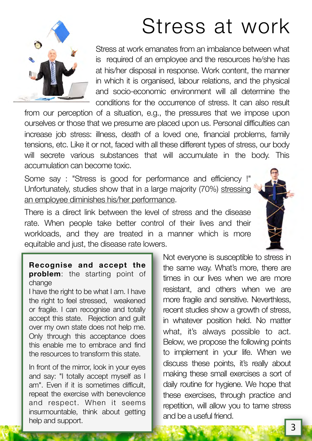## Stress at work



Stress at work emanates from an imbalance between what is required of an employee and the resources he/she has at his/her disposal in response. Work content, the manner in which it is organised, labour relations, and the physical and socio-economic environment will all determine the conditions for the occurrence of stress. It can also result

from our perception of a situation, e.g., the pressures that we impose upon ourselves or those that we presume are placed upon us. Personal difficulties can increase job stress: illness, death of a loved one, financial problems, family tensions, etc. Like it or not, faced with all these different types of stress, our body will secrete various substances that will accumulate in the body. This accumulation can become toxic.

Some say : "Stress is good for performance and efficiency !" Unfortunately, studies show that in a large majority (70%) stressing an employee diminishes his/her performance.

There is a direct link between the level of stress and the disease rate. When people take better control of their lives and their workloads, and they are treated in a manner which is more equitable and just, the disease rate lowers.



#### **Recognise and accept the problem**: the starting point of change

I have the right to be what I am. I have the right to feel stressed, weakened or fragile. I can recognise and totally accept this state. Rejection and guilt over my own state does not help me. Only through this acceptance does this enable me to embrace and find the resources to transform this state.

In front of the mirror, look in your eyes and say: "I totally accept myself as I am". Even if it is sometimes difficult, repeat the exercise with benevolence and respect. When it seems insurmountable, think about getting help and support.

Not everyone is susceptible to stress in the same way. What's more, there are times in our lives when we are more resistant, and others when we are more fragile and sensitive. Neverthless, recent studies show a growth of stress, in whatever position held. No matter what, it's always possible to act. Below, we propose the following points to implement in your life. When we discuss these points, it's really about making these small exercises a sort of daily routine for hygiene. We hope that these exercises, through practice and repetition, will allow you to tame stress and be a useful friend.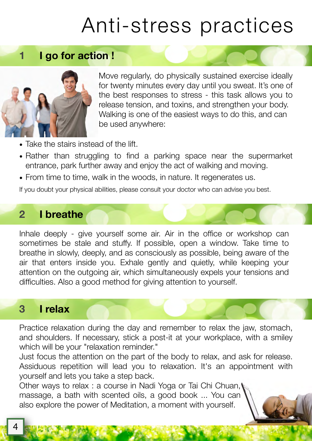## Anti-stress practices

**1 I go for action !**



Move regularly, do physically sustained exercise ideally for twenty minutes every day until you sweat. It's one of the best responses to stress - this task allows you to release tension, and toxins, and strengthen your body. Walking is one of the easiest ways to do this, and can be used anywhere:

- Take the stairs instead of the lift.
- Rather than struggling to find a parking space near the supermarket entrance, park further away and enjoy the act of walking and moving.
- From time to time, walk in the woods, in nature. It regenerates us.

If you doubt your physical abilities, please consult your doctor who can advise you best.

#### **2 I breathe**

Inhale deeply - give yourself some air. Air in the office or workshop can sometimes be stale and stuffy. If possible, open a window. Take time to breathe in slowly, deeply, and as consciously as possible, being aware of the air that enters inside you. Exhale gently and quietly, while keeping your attention on the outgoing air, which simultaneously expels your tensions and difficulties. Also a good method for giving attention to yourself.

#### **3 I relax**

Practice relaxation during the day and remember to relax the jaw, stomach, and shoulders. If necessary, stick a post-it at your workplace, with a smiley which will be your "relaxation reminder."

Just focus the attention on the part of the body to relax, and ask for release. Assiduous repetition will lead you to relaxation. It's an appointment with yourself and lets you take a step back.

Other ways to relax : a course in Nadi Yoga or Tai Chi Chuan, massage, a bath with scented oils, a good book ... You can also explore the power of Meditation, a moment with yourself.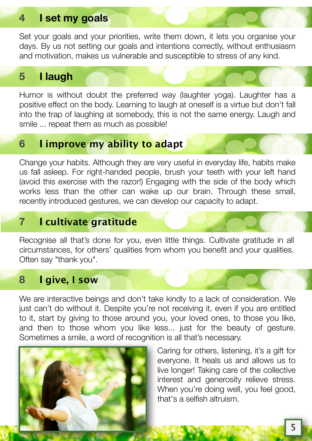#### **4 I set my goals**

Set your goals and your priorities, write them down, it lets you organise your days. By us not setting our goals and intentions correctly, without enthusiasm and motivation, makes us vulnerable and susceptible to stress of any kind.

#### **5 I laugh**

Humor is without doubt the preferred way (laughter yoga). Laughter has a positive effect on the body. Learning to laugh at oneself is a virtue but don't fall into the trap of laughing at somebody, this is not the same energy. Laugh and smile ... repeat them as much as possible!

#### **6 I improve my ability to adapt**

Change your habits. Although they are very useful in everyday life, habits make us fall asleep. For right-handed people, brush your teeth with your left hand (avoid this exercise with the razor!) Engaging with the side of the body which works less than the other can wake up our brain. Through these small, recently introduced gestures, we can develop our capacity to adapt.

#### **7 I cultivate gratitude**

Recognise all that's done for you, even little things. Cultivate gratitude in all circumstances, for others' qualities from whom you benefit and your qualities. Often say "thank you".

#### **8 I give, I sow**

We are interactive beings and don't take kindly to a lack of consideration. We just can't do without it. Despite you're not receiving it, even if you are entitled to it, start by giving to those around you, your loved ones, to those you like, and then to those whom you like less... just for the beauty of gesture. Sometimes a smile, a word of recognition is all that's necessary.



Caring for others, listening, it's a gift for everyone. It heals us and allows us to live longer! Taking care of the collective interest and generosity relieve stress. When you're doing well, you feel good, that's a selfish altruism.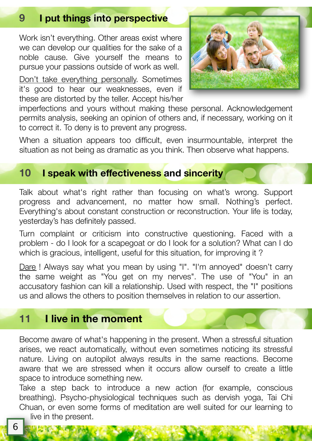### **9 I put things into perspective**

Work isn't everything. Other areas exist where we can develop our qualities for the sake of a noble cause. Give yourself the means to pursue your passions outside of work as well.

Don't take everything personally. Sometimes it's good to hear our weaknesses, even if these are distorted by the teller. Accept his/her



imperfections and yours without making these personal. Acknowledgement permits analysis, seeking an opinion of others and, if necessary, working on it to correct it. To deny is to prevent any progress.

When a situation appears too difficult, even insurmountable, interpret the situation as not being as dramatic as you think. Then observe what happens.

#### **10 I speak with effectiveness and sincerity**

Talk about what's right rather than focusing on what's wrong. Support progress and advancement, no matter how small. Nothing's perfect. Everything's about constant construction or reconstruction. Your life is today, yesterday's has definitely passed.

Turn complaint or criticism into constructive questioning. Faced with a problem - do I look for a scapegoat or do I look for a solution? What can I do which is gracious, intelligent, useful for this situation, for improving it?

Dare ! Always say what you mean by using "I". "I'm annoyed" doesn't carry the same weight as "You get on my nerves". The use of "You" in an accusatory fashion can kill a relationship. Used with respect, the "I" positions us and allows the others to position themselves in relation to our assertion.

#### **11 I live in the moment**

Become aware of what's happening in the present. When a stressful situation arises, we react automatically, without even sometimes noticing its stressful nature. Living on autopilot always results in the same reactions. Become aware that we are stressed when it occurs allow ourself to create a little space to introduce something new.

Take a step back to introduce a new action (for example, conscious breathing). Psycho-physiological techniques such as dervish yoga, Tai Chi Chuan, or even some forms of meditation are well suited for our learning to live in the present.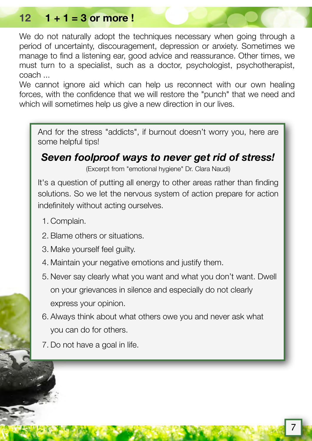#### **12 1 + 1 = 3 or more !**

We do not naturally adopt the techniques necessary when going through a period of uncertainty, discouragement, depression or anxiety. Sometimes we manage to find a listening ear, good advice and reassurance. Other times, we must turn to a specialist, such as a doctor, psychologist, psychotherapist, coach ...

We cannot janore aid which can help us reconnect with our own healing forces, with the confidence that we will restore the "punch" that we need and which will sometimes help us give a new direction in our lives.

And for the stress "addicts", if burnout doesn't worry you, here are some helpful tips!

#### *Seven foolproof ways to never get rid of stress!*

(Excerpt from "emotional hygiene" Dr. Clara Naudi)

It's a question of putting all energy to other areas rather than finding solutions. So we let the nervous system of action prepare for action indefinitely without acting ourselves.

- 1. Complain.
- 2. Blame others or situations.
- 3. Make yourself feel guilty.
- 4. Maintain your negative emotions and justify them.
- 5. Never say clearly what you want and what you don't want. Dwell on your grievances in silence and especially do not clearly express your opinion.
- 6. Always think about what others owe you and never ask what you can do for others.
- 7. Do not have a goal in life.